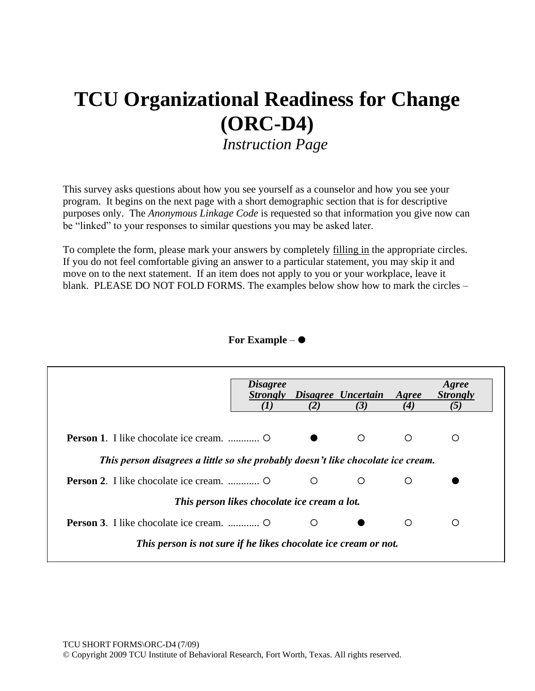# **TCU Organizational Readiness for Change (ORC-D4)**

*Instruction Page*

This survey asks questions about how you see yourself as a counselor and how you see your program. It begins on the next page with a short demographic section that is for descriptive purposes only. The *Anonymous Linkage Code* is requested so that information you give now can be "linked" to your responses to similar questions you may be asked later.

To complete the form, please mark your answers by completely filling in the appropriate circles. If you do not feel comfortable giving an answer to a particular statement, you may skip it and move on to the next statement. If an item does not apply to you or your workplace, leave it blank. PLEASE DO NOT FOLD FORMS. The examples below show how to mark the circles –

### **For Example** –

|                                                                                  | <i>Disagree</i><br><i>Strongly</i> |     | Disagree Uncertain | Agree   | Agree<br><b>Strongly</b> |  |  |  |  |
|----------------------------------------------------------------------------------|------------------------------------|-----|--------------------|---------|--------------------------|--|--|--|--|
|                                                                                  | (I)                                | (2) | (3)                | (4)     | (5)                      |  |  |  |  |
|                                                                                  |                                    |     | $\circ$            | $\circ$ | O                        |  |  |  |  |
| This person disagrees a little so she probably doesn't like chocolate ice cream. |                                    |     |                    |         |                          |  |  |  |  |
|                                                                                  |                                    | O   | O                  | O       |                          |  |  |  |  |
| This person likes chocolate ice cream a lot.                                     |                                    |     |                    |         |                          |  |  |  |  |
|                                                                                  |                                    | O   |                    | ∩       | ∩                        |  |  |  |  |
| This person is not sure if he likes chocolate ice cream or not.                  |                                    |     |                    |         |                          |  |  |  |  |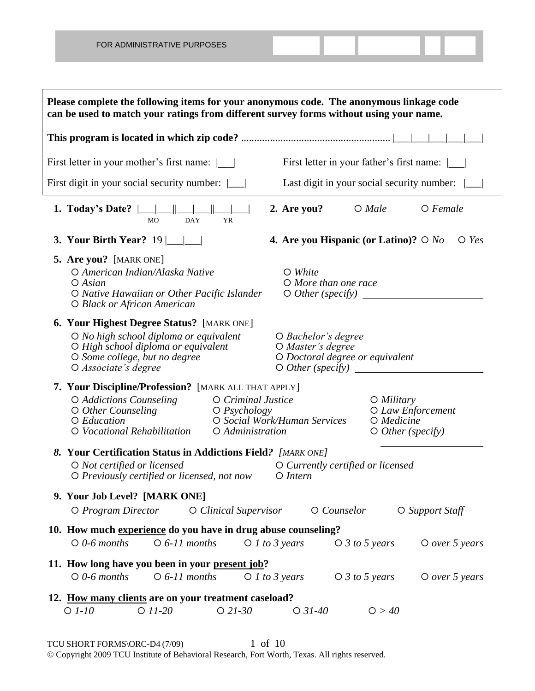**Please complete the following items for your anonymous code. The anonymous linkage code can be used to match your ratings from different survey forms without using your name. This program is located in which zip code?** ......................................................... |\_\_\_|\_\_\_|\_\_\_|\_\_\_|\_\_\_| First letter in your mother's first name: | | First letter in your father's first name: | First digit in your social security number:  $\Box$  Last digit in your social security number:  $\Box$ **1. Today's Date?** |\_\_\_|\_\_\_||\_\_\_|\_\_\_||\_\_\_|\_\_\_| **2. Are you?** *Male Female* MO DAY **3. Your Birth Year?** 19 |\_\_\_|\_\_\_| **4. Are you Hispanic (or Latino)?** *No Yes* **5. Are you?** [MARK ONE] *American Indian/Alaska Native White Asian More than one race Native Hawaiian or Other Pacific Islander Other (specify) Black or African American* **6. Your Highest Degree Status?** [MARK ONE] *No high school diploma or equivalent Bachelor's degree High school diploma or equivalent Master's degree Some college, but no degree Doctoral degree or equivalent Associate's degree Other (specify)*  **7. Your Discipline/Profession?** [MARK ALL THAT APPLY] *Addictions Counseling Criminal Justice Military Other Counseling Psychology Law Enforcement Education Social Work/Human Services Medicine Vocational Rehabilitation Administration Other (specify) 8.* **Your Certification Status in Addictions Field***? [MARK ONE] Not certified or licensed Currently certified or licensed O Previously certified or licensed, not now* 

### **9. Your Job Level? [MARK ONE]** *Program Director Clinical Supervisor Counselor Support Staff* **10. How much experience do you have in drug abuse counseling?** *0-6 months 6-11 months 1 to 3 years 3 to 5 years over 5 years* **11. How long have you been in your present job?** *0-6 months 6-11 months 1 to 3 years 3 to 5 years over 5 years* **12. How many clients are on your treatment caseload?**

# *1-10 11-20 21-30 31-40 > 40*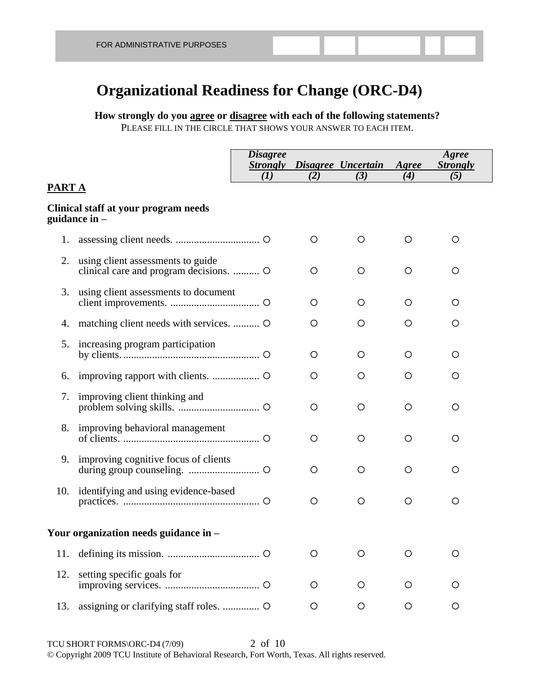## **Organizational Readiness for Change (ORC-D4)**

### **How strongly do you agree or disagree with each of the following statements?**  PLEASE FILL IN THE CIRCLE THAT SHOWS YOUR ANSWER TO EACH ITEM.

|               |                                                                              | <b>Disagree</b><br><b>Strongly</b><br>(I) | (2)     | Disagree Uncertain<br>(3) | Agree<br>(4) | Agree<br><b>Strongly</b><br>(5) |  |
|---------------|------------------------------------------------------------------------------|-------------------------------------------|---------|---------------------------|--------------|---------------------------------|--|
| <u>PART A</u> |                                                                              |                                           |         |                           |              |                                 |  |
|               | Clinical staff at your program needs<br>guidance in –                        |                                           |         |                           |              |                                 |  |
| 1.            |                                                                              |                                           | O       | O                         | O            | O                               |  |
| 2.            | using client assessments to guide<br>clinical care and program decisions.  O |                                           | O       | O                         | O            | O                               |  |
| 3.            | using client assessments to document                                         |                                           | O       | O                         | O            | O                               |  |
| 4.            | matching client needs with services.  O                                      |                                           | O       | O                         | O            | O                               |  |
| 5.            | increasing program participation                                             |                                           | O       | O                         | O            | O                               |  |
| 6.            |                                                                              |                                           | O       | O                         | O            | O                               |  |
| 7.            | improving client thinking and                                                |                                           | $\circ$ | O                         | O            | $\circ$                         |  |
|               | 8. improving behavioral management                                           |                                           | $\circ$ | O                         | O            | $\circ$                         |  |
|               | 9. improving cognitive focus of clients                                      |                                           | O       | O                         | O            | O                               |  |
|               | 10. identifying and using evidence-based                                     |                                           | $\circ$ | O                         | O            | O                               |  |
|               | Your organization needs guidance in –                                        |                                           |         |                           |              |                                 |  |
| 11.           |                                                                              |                                           | O       | O                         | O            | O                               |  |
| 12.           | setting specific goals for                                                   |                                           | O       | O                         | O            | O                               |  |
| 13.           | assigning or clarifying staff roles.  O                                      |                                           | O       | O                         | O            | O                               |  |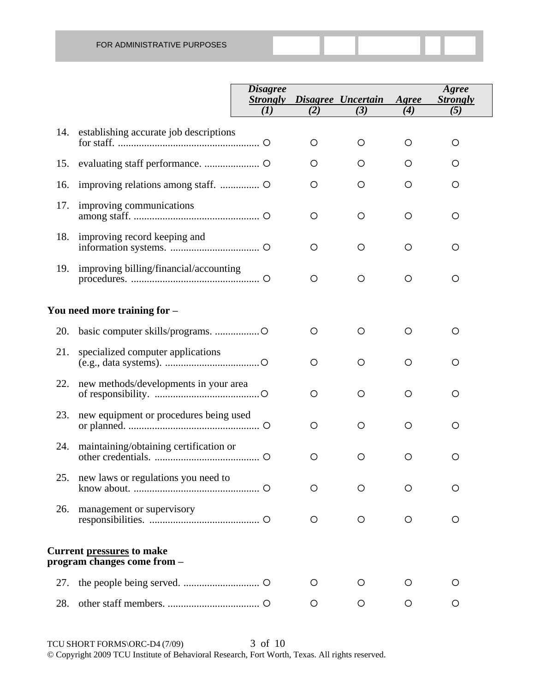|     |                                                                 | <b>Disagree</b><br><b>Strongly</b> |         | Disagree Uncertain | Agree   | Agree<br><b>Strongly</b> |
|-----|-----------------------------------------------------------------|------------------------------------|---------|--------------------|---------|--------------------------|
|     |                                                                 | (I)                                | (2)     | (3)                | (4)     | (5)                      |
| 14. | establishing accurate job descriptions                          |                                    | $\circ$ | $\circ$            | O       | $\circ$                  |
| 15. |                                                                 |                                    | O       | O                  | O       | O                        |
| 16. |                                                                 |                                    | O       | $\circ$            | O       | O                        |
| 17. | improving communications                                        |                                    | $\circ$ | $\circ$            | $\circ$ | $\circ$                  |
| 18. | improving record keeping and                                    |                                    | $\circ$ | $\circ$            | O       | O                        |
| 19. | improving billing/financial/accounting                          |                                    | $\circ$ | $\circ$            | $\circ$ | $\circ$                  |
|     | You need more training for -                                    |                                    |         |                    |         |                          |
| 20. |                                                                 |                                    | $\circ$ | $\circ$            | O       | $\circ$                  |
| 21. | specialized computer applications                               |                                    | $\circ$ | $\circ$            | $\circ$ | $\circ$                  |
| 22. | new methods/developments in your area                           |                                    | $\circ$ | $\circ$            | $\circ$ | $\circ$                  |
| 23. | new equipment or procedures being used                          |                                    | $\circ$ | $\circ$            | $\circ$ | $\circ$                  |
| 24. | maintaining/obtaining certification or                          |                                    | $\circ$ | $\circ$            | $\circ$ | O                        |
| 25. | new laws or regulations you need to                             |                                    | O       | $\circ$            | O       | O                        |
| 26. | management or supervisory                                       |                                    | O       | $\circ$            | $\circ$ | O                        |
|     | <b>Current pressures to make</b><br>program changes come from – |                                    |         |                    |         |                          |
| 27. |                                                                 |                                    | O       | $\circ$            | O       | O                        |
| 28. |                                                                 |                                    | O       | $\circ$            | $\circ$ | O                        |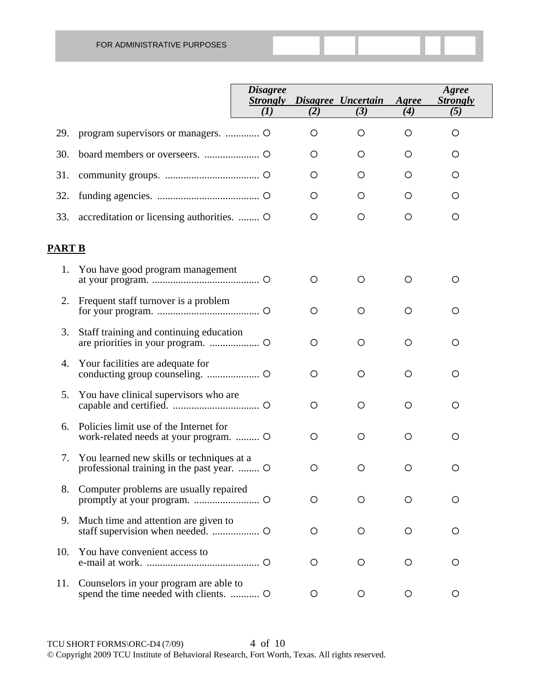|               |                                                                                      | <b>Disagree</b><br><b>Strongly</b><br>(I) | (2)     | Disagree Uncertain<br>(3) | Agree<br>(4) | Agree<br><i><b>Strongly</b></i><br>(5) |
|---------------|--------------------------------------------------------------------------------------|-------------------------------------------|---------|---------------------------|--------------|----------------------------------------|
| 29.           |                                                                                      |                                           | O       | O                         | O            | O                                      |
| 30.           |                                                                                      |                                           | O       | O                         | O            | O                                      |
| 31.           |                                                                                      |                                           | O       | O                         | O            | O                                      |
| 32.           |                                                                                      |                                           | O       | O                         | O            | O                                      |
| 33.           | accreditation or licensing authorities.  O                                           |                                           | O       | O                         | $\circ$      | O                                      |
| <b>PART B</b> |                                                                                      |                                           |         |                           |              |                                        |
| 1.            | You have good program management                                                     |                                           | O       | O                         | $\circ$      | O                                      |
| 2.            | Frequent staff turnover is a problem                                                 |                                           | $\circ$ | O                         | $\circ$      | O                                      |
| 3.            | Staff training and continuing education                                              |                                           | $\circ$ | O                         | $\circ$      | O                                      |
| 4.            | Your facilities are adequate for                                                     |                                           | $\circ$ | O                         | $\circ$      | O                                      |
| 5.            | You have clinical supervisors who are                                                |                                           | $\circ$ | O                         | $\circ$      | O                                      |
| 6.            | Policies limit use of the Internet for<br>work-related needs at your program.  O     |                                           | O       | O                         | $\circ$      | O                                      |
| 7.            | You learned new skills or techniques at a<br>professional training in the past year. |                                           | O       | O                         | $\circ$      | O                                      |
| 8.            | Computer problems are usually repaired                                               |                                           | O       | O                         | $\circ$      | O                                      |
| 9.            | Much time and attention are given to                                                 |                                           | $\circ$ | $\circ$                   | $\circ$      | O                                      |
| 10.           | You have convenient access to                                                        |                                           | $\circ$ | O                         | $\circ$      | O                                      |
| 11.           | Counselors in your program are able to<br>spend the time needed with clients.  O     |                                           | $\circ$ | $\circ$                   | $\circ$      | O                                      |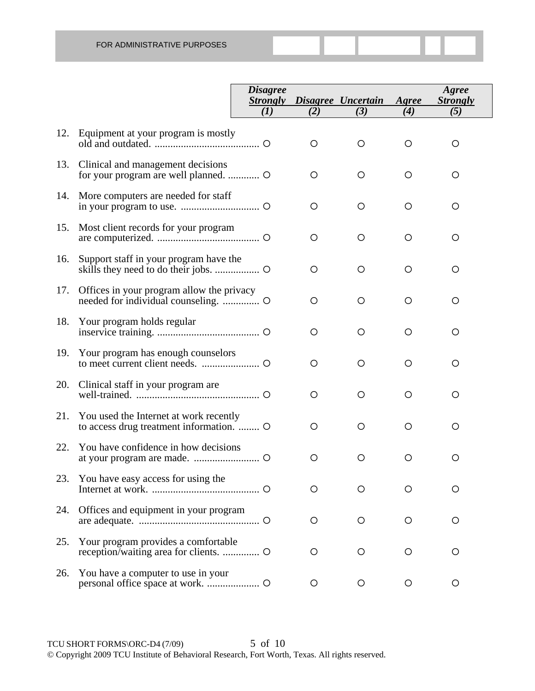|     |                                                                                    | <b>Disagree</b><br><b>Strongly</b><br>(1) | (2)     | Disagree Uncertain<br>(3) | Agree<br>(4) | Agree<br><b>Strongly</b><br>(5) |
|-----|------------------------------------------------------------------------------------|-------------------------------------------|---------|---------------------------|--------------|---------------------------------|
| 12. | Equipment at your program is mostly                                                |                                           | O       | O                         | $\circ$      | O                               |
| 13. | Clinical and management decisions<br>for your program are well planned.  O         |                                           | O       | O                         | O            | O                               |
| 14. | More computers are needed for staff                                                |                                           | O       | O                         | O            | O                               |
| 15. | Most client records for your program                                               |                                           | O       | O                         | O            | O                               |
| 16. | Support staff in your program have the                                             |                                           | O       | O                         | O            | O                               |
| 17. | Offices in your program allow the privacy                                          |                                           | O       | O                         | O            | O                               |
| 18. | Your program holds regular                                                         |                                           | O       | O                         | O            | O                               |
| 19. | Your program has enough counselors                                                 |                                           | O       | O                         | O            | O                               |
| 20. | Clinical staff in your program are                                                 |                                           | O       | O                         | O            | O                               |
| 21. | You used the Internet at work recently<br>to access drug treatment information.  O |                                           | $\circ$ | O                         | O            | $\circ$                         |
| 22. | You have confidence in how decisions                                               |                                           | O       | O                         | O            | O                               |
| 23. | You have easy access for using the                                                 |                                           | $\circ$ | O                         | O            | O                               |
| 24. | Offices and equipment in your program                                              |                                           | O       | $\circ$                   | $\circ$      | O                               |
| 25. | Your program provides a comfortable                                                |                                           | $\circ$ | O                         | O            | O                               |
| 26. | You have a computer to use in your                                                 |                                           | $\circ$ | $\circ$                   | $\circ$      | O                               |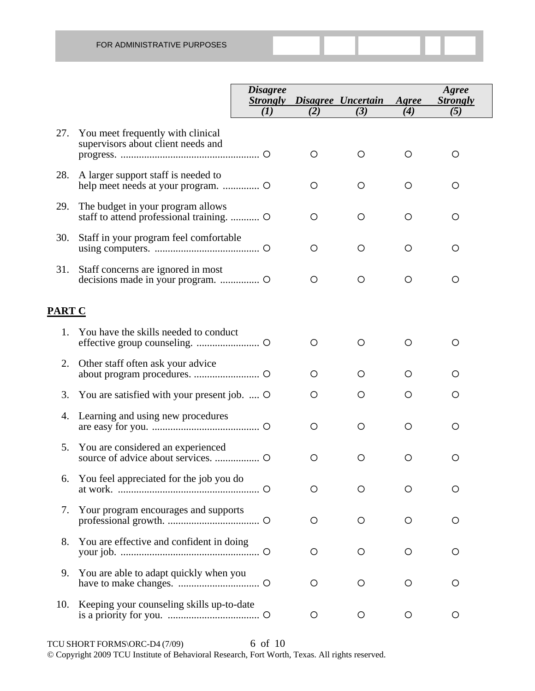|               |                                                                                | <i><b>Disagree</b></i><br><b>Strongly</b> |         | Disagree Uncertain | Agree | Agree<br><b>Strongly</b> |
|---------------|--------------------------------------------------------------------------------|-------------------------------------------|---------|--------------------|-------|--------------------------|
|               |                                                                                | (I)                                       | (2)     | (3)                | (4)   | (5)                      |
| 27.           | You meet frequently with clinical<br>supervisors about client needs and        |                                           | O       | O                  | O     | O                        |
| 28.           | A larger support staff is needed to                                            |                                           | O       | $\circ$            | O     | O                        |
| 29.           | The budget in your program allows<br>staff to attend professional training.  O |                                           | O       | O                  | O     | O                        |
| 30.           | Staff in your program feel comfortable                                         |                                           | O       | O                  | O     | O                        |
| 31.           | Staff concerns are ignored in most                                             |                                           | O       | $\circ$            | O     | O                        |
| <b>PART C</b> |                                                                                |                                           |         |                    |       |                          |
| 1.            | You have the skills needed to conduct                                          |                                           | O       | O                  | O     | O                        |
| 2.            | Other staff often ask your advice                                              |                                           | $\circ$ | $\circ$            | O     | Ο                        |
| 3.            | You are satisfied with your present job.  O                                    |                                           | O       | O                  | O     | Ο                        |
| 4.            | Learning and using new procedures                                              |                                           | O       | $\circ$            | O     | O                        |
| 5.            | You are considered an experienced                                              |                                           | O       | $\circ$            | O     | O                        |
| 6.            | You feel appreciated for the job you do                                        |                                           | О       | O                  | Ω     | Ω                        |
| 7.            | Your program encourages and supports                                           |                                           | O       | O                  | O     | O                        |
| 8.            | You are effective and confident in doing                                       |                                           | O       | O                  | O     | O                        |
| 9.            | You are able to adapt quickly when you                                         |                                           | O       | O                  | O     | O                        |
| 10.           | Keeping your counseling skills up-to-date                                      |                                           | O       | O                  | O     | O                        |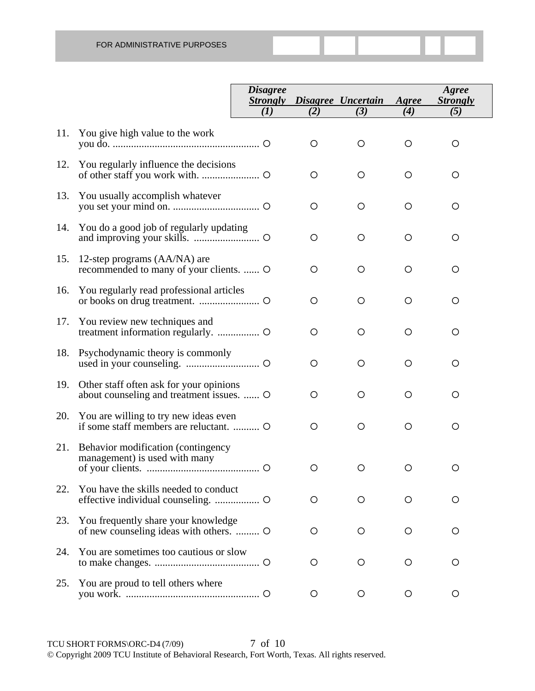|     |                                                                                      | <b>Disagree</b><br><b>Strongly</b><br>(I) | (2)     | Disagree Uncertain<br>(3) | Agree<br>(4) | Agree<br><b>Strongly</b><br>(5) |
|-----|--------------------------------------------------------------------------------------|-------------------------------------------|---------|---------------------------|--------------|---------------------------------|
|     |                                                                                      |                                           |         |                           |              |                                 |
| 11. | You give high value to the work                                                      |                                           | $\circ$ | $\circ$                   | $\circ$      | $\circ$                         |
| 12. | You regularly influence the decisions                                                |                                           | $\circ$ | $\circ$                   | $\circ$      | $\circ$                         |
| 13. | You usually accomplish whatever                                                      |                                           | $\circ$ | $\circ$                   | $\circ$      | $\circ$                         |
| 14. | You do a good job of regularly updating                                              |                                           | $\circ$ | $\circ$                   | $\circ$      | $\circ$                         |
| 15. | 12-step programs (AA/NA) are<br>recommended to many of your clients.  O              |                                           | $\circ$ | $\circ$                   | $\circ$      | $\circ$                         |
| 16. | You regularly read professional articles                                             |                                           | $\circ$ | $\circ$                   | $\circ$      | $\circ$                         |
| 17. | You review new techniques and                                                        |                                           | $\circ$ | $\circ$                   | $\circ$      | $\circ$                         |
| 18. | Psychodynamic theory is commonly                                                     |                                           | $\circ$ | $\circ$                   | $\circ$      | $\circ$                         |
| 19. | Other staff often ask for your opinions<br>about counseling and treatment issues.  O |                                           | $\circ$ | $\circ$                   | $\circ$      | $\circ$                         |
| 20. | You are willing to try new ideas even                                                |                                           | O       | $\circ$                   | $\circ$      | O                               |
| 21. | Behavior modification (contingency<br>management) is used with many                  |                                           |         |                           |              |                                 |
|     |                                                                                      |                                           | $\circ$ | $\circ$                   | $\circ$      | O                               |
| 22. | You have the skills needed to conduct                                                |                                           | $\circ$ | $\circ$                   | $\circ$      | O                               |
| 23. | You frequently share your knowledge<br>of new counseling ideas with others.          |                                           | O       | O                         | $\circ$      | O                               |
| 24. | You are sometimes too cautious or slow                                               |                                           | O       | O                         | O            | O                               |
| 25. | You are proud to tell others where                                                   |                                           | O       | $\circ$                   | $\circ$      | $\circ$                         |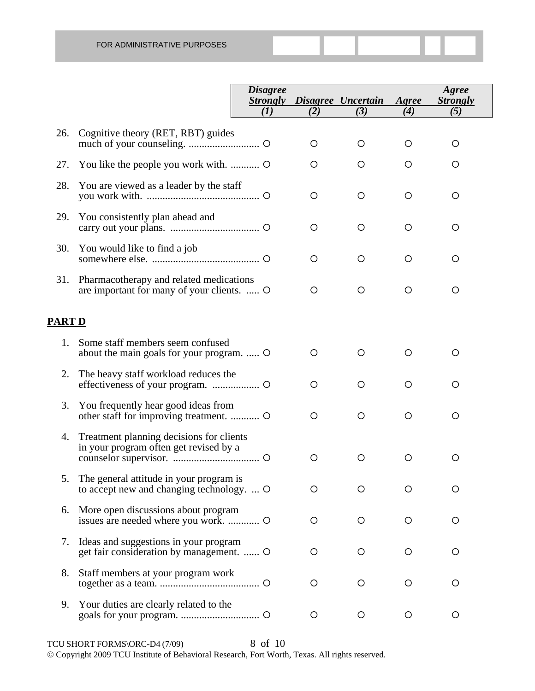|               |                                                                                       | <i>Disagree</i><br><b>Strongly</b> |         | Disagree Uncertain | Agree   | Agree<br><b>Strongly</b> |
|---------------|---------------------------------------------------------------------------------------|------------------------------------|---------|--------------------|---------|--------------------------|
|               |                                                                                       | (I)                                | (2)     | (3)                | (4)     | (5)                      |
| 26.           | Cognitive theory (RET, RBT) guides                                                    |                                    | O       | $\circ$            | O       | O                        |
| 27.           |                                                                                       |                                    | O       | O                  | $\circ$ | O                        |
| 28.           | You are viewed as a leader by the staff                                               |                                    | O       | O                  | $\circ$ | O                        |
| 29.           | You consistently plan ahead and                                                       |                                    | O       | O                  | $\circ$ | O                        |
| 30.           | You would like to find a job                                                          |                                    | $\circ$ | O                  | $\circ$ | O                        |
| 31.           | Pharmacotherapy and related medications<br>are important for many of your clients.  O |                                    | O       | $\circ$            | $\circ$ | O                        |
| <b>PART D</b> |                                                                                       |                                    |         |                    |         |                          |
| 1.            | Some staff members seem confused<br>about the main goals for your program.  O         |                                    | O       | O                  | $\circ$ | O                        |
| 2.            | The heavy staff workload reduces the                                                  |                                    | O       | O                  | $\circ$ | O                        |
| 3.            | You frequently hear good ideas from                                                   |                                    | O       | $\circ$            | $\circ$ | $\circ$                  |
| 4.            | Treatment planning decisions for clients<br>in your program often get revised by a    |                                    | $\circ$ | $\circ$            | $\circ$ | O                        |
| 5.            | The general attitude in your program is<br>to accept new and changing technology.  O  |                                    | O       | O                  | $\circ$ | О                        |
| 6.            | More open discussions about program                                                   |                                    | $\circ$ | $\circ$            | $\circ$ | O                        |
| 7.            | Ideas and suggestions in your program<br>get fair consideration by management.  O     |                                    | $\circ$ | $\circ$            | $\circ$ | O                        |
| 8.            | Staff members at your program work                                                    |                                    | $\circ$ | $\circ$            | $\circ$ | O                        |
| 9.            | Your duties are clearly related to the                                                |                                    | $\circ$ | $\circ$            | $\circ$ | O                        |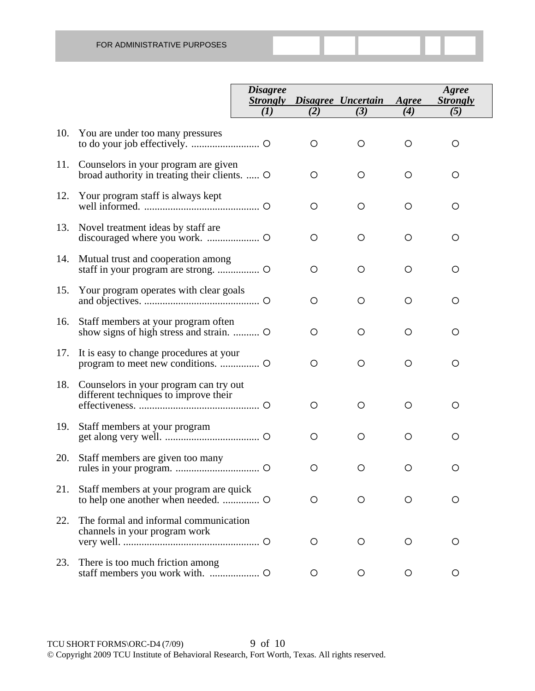|     |                                                                                       | <b>Disagree</b><br><b>Strongly</b><br>(I) | (2)     | Disagree Uncertain<br>(3) | Agree<br>(4) | Agree<br><b>Strongly</b><br>(5) |
|-----|---------------------------------------------------------------------------------------|-------------------------------------------|---------|---------------------------|--------------|---------------------------------|
| 10. | You are under too many pressures                                                      |                                           | O       | O                         | O            | O                               |
| 11. | Counselors in your program are given<br>broad authority in treating their clients.  O |                                           | O       | O                         | $\circ$      | O                               |
| 12. | Your program staff is always kept                                                     |                                           | O       | O                         | $\circ$      | $\circ$                         |
| 13. | Novel treatment ideas by staff are                                                    |                                           | O       | O                         | $\circ$      | $\circ$                         |
| 14. | Mutual trust and cooperation among                                                    |                                           | O       | O                         | $\circ$      | $\circ$                         |
| 15. | Your program operates with clear goals                                                |                                           | O       | O                         | $\circ$      | $\circ$                         |
| 16. | Staff members at your program often                                                   |                                           | O       | O                         | $\circ$      | $\circ$                         |
| 17. | It is easy to change procedures at your                                               |                                           | O       | O                         | $\circ$      | $\circ$                         |
| 18. | Counselors in your program can try out<br>different techniques to improve their       |                                           | O       | O                         | O            | O                               |
| 19. | Staff members at your program                                                         |                                           | O       | O                         | $\circ$      | O                               |
| 20. | Staff members are given too many                                                      |                                           | O       | O                         | $\circ$      | O                               |
| 21. | Staff members at your program are quick                                               |                                           | O       | O                         | O            | O                               |
| 22. | The formal and informal communication<br>channels in your program work                |                                           | $\circ$ | $\circ$                   | O            | $\circ$                         |
| 23. | There is too much friction among                                                      |                                           | O       | O                         | $\circ$      | O                               |